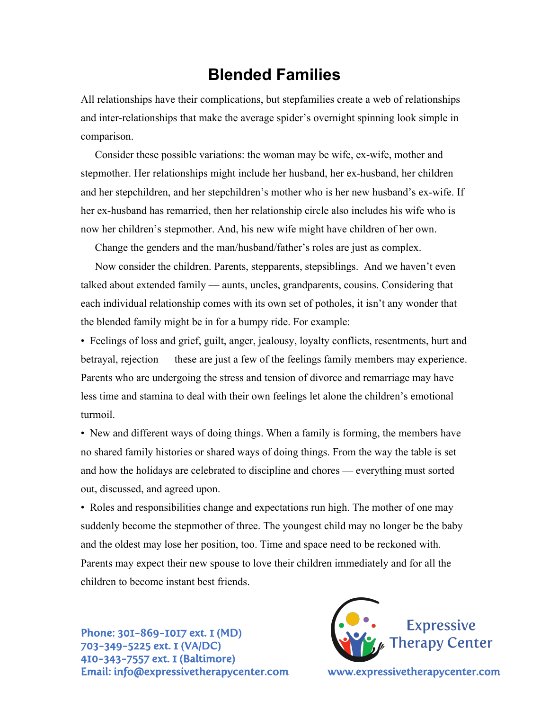## **Blended Families**

All relationships have their complications, but stepfamilies create a web of relationships and inter-relationships that make the average spider's overnight spinning look simple in comparison.

Consider these possible variations: the woman may be wife, ex-wife, mother and stepmother. Her relationships might include her husband, her ex-husband, her children and her stepchildren, and her stepchildren's mother who is her new husband's ex-wife. If her ex-husband has remarried, then her relationship circle also includes his wife who is now her children's stepmother. And, his new wife might have children of her own.

Change the genders and the man/husband/father's roles are just as complex.

Now consider the children. Parents, stepparents, stepsiblings. And we haven't even talked about extended family — aunts, uncles, grandparents, cousins. Considering that each individual relationship comes with its own set of potholes, it isn't any wonder that the blended family might be in for a bumpy ride. For example:

• Feelings of loss and grief, guilt, anger, jealousy, loyalty conflicts, resentments, hurt and betrayal, rejection — these are just a few of the feelings family members may experience. Parents who are undergoing the stress and tension of divorce and remarriage may have less time and stamina to deal with their own feelings let alone the children's emotional turmoil.

• New and different ways of doing things. When a family is forming, the members have no shared family histories or shared ways of doing things. From the way the table is set and how the holidays are celebrated to discipline and chores — everything must sorted out, discussed, and agreed upon.

• Roles and responsibilities change and expectations run high. The mother of one may suddenly become the stepmother of three. The youngest child may no longer be the baby and the oldest may lose her position, too. Time and space need to be reckoned with. Parents may expect their new spouse to love their children immediately and for all the children to become instant best friends.

Phone: 301-869-1017 ext. 1 (MD) 703-349-5225 ext. 1 (VA/DC) 410-343-7557 ext. 1 (Baltimore) Email: info@expressivetherapycenter.com www.expressivetherapycenter.com